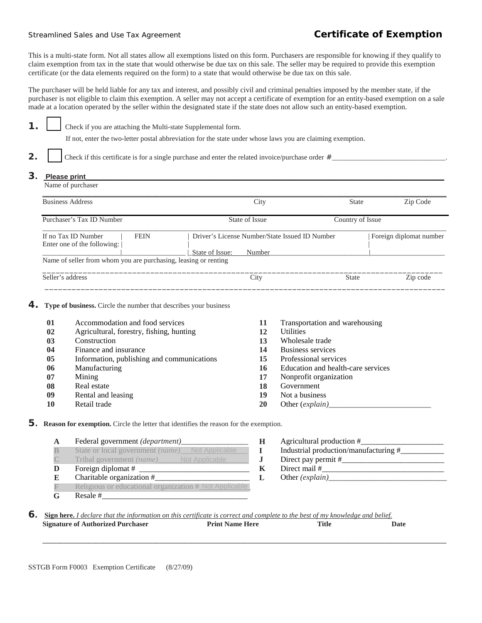## Streamlined Sales and Use Tax Agreement **Certificate of Exemption**

This is a multi-state form. Not all states allow all exemptions listed on this form. Purchasers are responsible for knowing if they qualify to claim exemption from tax in the state that would otherwise be due tax on this sale. The seller may be required to provide this exemption certificate (or the data elements required on the form) to a state that would otherwise be due tax on this sale.

The purchaser will be held liable for any tax and interest, and possibly civil and criminal penalties imposed by the member state, if the purchaser is not eligible to claim this exemption. A seller may not accept a certificate of exemption for an entity-based exemption on a sale made at a location operated by the seller within the designated state if the state does not allow such an entity-based exemption.

**1.** Check if you are attaching the Multi-state Supplemental form.

If not, enter the two-letter postal abbreviation for the state under whose laws you are claiming exemption.

**2.** Check if this certificate is for a single purchase and enter the related invoice/purchase order  $\#$ 

## **3.** Please print

| City           | <b>State</b>                                                                                 | Zip Code                                       |
|----------------|----------------------------------------------------------------------------------------------|------------------------------------------------|
| State of Issue | Country of Issue                                                                             |                                                |
|                |                                                                                              | Foreign diplomat number                        |
|                |                                                                                              |                                                |
| City           | <b>State</b>                                                                                 | Zip code                                       |
|                | State of Issue:<br>Number<br>Name of seller from whom you are purchasing, leasing or renting | Driver's License Number/State Issued ID Number |

## **4. Type of business.** Circle the number that describes your business

| 01 | Accommodation and food services            | 11 | Transportation and warehousing     |
|----|--------------------------------------------|----|------------------------------------|
| 02 | Agricultural, forestry, fishing, hunting   | 12 | <b>Utilities</b>                   |
| 03 | Construction                               | 13 | Wholesale trade                    |
| 04 | Finance and insurance                      | 14 | Business services                  |
| 05 | Information, publishing and communications | 15 | Professional services              |
| 06 | Manufacturing                              | 16 | Education and health-care services |
| 07 | Mining                                     | 17 | Nonprofit organization             |
| 08 | Real estate                                | 18 | Government                         |
| 09 | Rental and leasing                         | 19 | Not a business                     |
| 10 | Retail trade                               | 20 |                                    |

**5. Reason for exemption.** Circle the letter that identifies the reason for the exemption.

**A** Federal government *(department)\_\_\_\_\_\_\_\_\_\_\_\_\_\_\_\_\_* **H** Agricultural production #\_\_\_\_\_\_\_\_\_\_\_\_\_\_\_\_\_\_\_\_\_

| $\mathbb B$    | State or local government (name) Not Applicable        | Industrial production/manufacturing # |
|----------------|--------------------------------------------------------|---------------------------------------|
| $\mathbb{C}^-$ | Tribal government (name) Not Applicable                | Direct pay permit #                   |
| D              | Foreign diplomat #                                     | Direct mail #                         |
| E              | Charitable organization #                              | Other $(explain)$                     |
| $\mathbb{F}$   | Religious or educational organization # Not Applicable |                                       |
|                | Resale #                                               |                                       |

**B** Industrial production/manufacturing  $#$ **C** Tribal government *(name)\_\_\_\_\_\_\_\_\_\_\_\_\_\_\_\_\_\_\_\_\_\_\_* **J** Direct pay permit #\_\_\_\_\_\_\_\_\_\_\_\_\_\_\_\_\_\_\_\_\_\_\_\_\_\_  $L$  Other *(explain)\_\_\_\_* 

**6.** Sign here. *I declare that the information on this certificate is correct and complete to the best of my knowledge and belief.<br>Signature of Authorized Purchaser Print Name Here Title Date* **Signature of Authorized Purchaser** 

 **\_\_\_\_\_\_\_\_\_\_\_\_\_\_\_\_\_\_\_\_\_\_\_\_\_\_\_\_\_\_\_\_\_\_\_\_\_\_\_\_\_\_\_\_\_\_\_\_\_\_\_\_\_\_\_\_\_\_\_\_\_\_\_\_\_\_\_\_\_\_\_\_\_\_\_\_\_\_\_\_\_\_\_\_\_\_\_\_\_\_\_\_\_\_\_\_\_\_\_\_\_\_\_\_\_\_\_\_\_\_\_\_\_\_**